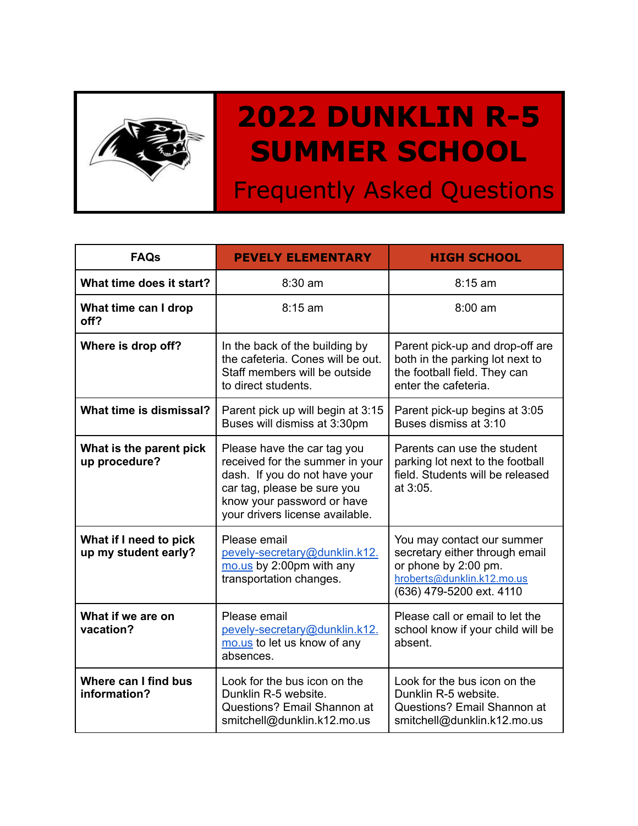

## **2022 DUNKLIN R-5 SUMMER SCHOOL**

Frequently Asked Questions

| <b>FAQs</b>                                    | <b>PEVELY ELEMENTARY</b>                                                                                                                                                                        | <b>HIGH SCHOOL</b>                                                                                                                             |
|------------------------------------------------|-------------------------------------------------------------------------------------------------------------------------------------------------------------------------------------------------|------------------------------------------------------------------------------------------------------------------------------------------------|
| What time does it start?                       | 8:30 am                                                                                                                                                                                         | $8:15$ am                                                                                                                                      |
| What time can I drop<br>off?                   | $8:15$ am                                                                                                                                                                                       | $8:00$ am                                                                                                                                      |
| Where is drop off?                             | In the back of the building by<br>the cafeteria. Cones will be out.<br>Staff members will be outside<br>to direct students.                                                                     | Parent pick-up and drop-off are<br>both in the parking lot next to<br>the football field. They can<br>enter the cafeteria.                     |
| What time is dismissal?                        | Parent pick up will begin at 3:15<br>Buses will dismiss at 3:30pm                                                                                                                               | Parent pick-up begins at 3:05<br>Buses dismiss at 3:10                                                                                         |
| What is the parent pick<br>up procedure?       | Please have the car tag you<br>received for the summer in your<br>dash. If you do not have your<br>car tag, please be sure you<br>know your password or have<br>your drivers license available. | Parents can use the student<br>parking lot next to the football<br>field. Students will be released<br>at 3:05.                                |
| What if I need to pick<br>up my student early? | Please email<br>pevely-secretary@dunklin.k12.<br>mo.us by 2:00pm with any<br>transportation changes.                                                                                            | You may contact our summer<br>secretary either through email<br>or phone by 2:00 pm.<br>hroberts@dunklin.k12.mo.us<br>(636) 479-5200 ext. 4110 |
| What if we are on<br>vacation?                 | Please email<br>pevely-secretary@dunklin.k12.<br>mo.us to let us know of any<br>absences.                                                                                                       | Please call or email to let the<br>school know if your child will be<br>absent.                                                                |
| Where can I find bus<br>information?           | Look for the bus icon on the<br>Dunklin R-5 website.<br>Questions? Email Shannon at<br>smitchell@dunklin.k12.mo.us                                                                              | Look for the bus icon on the<br>Dunklin R-5 website.<br>Questions? Email Shannon at<br>smitchell@dunklin.k12.mo.us                             |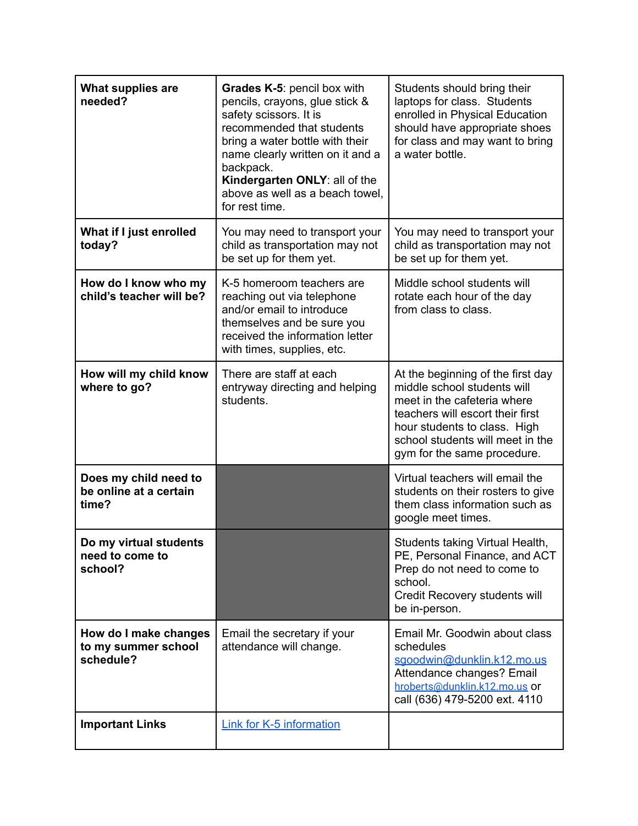| What supplies are<br>needed?                              | Grades K-5: pencil box with<br>pencils, crayons, glue stick &<br>safety scissors. It is<br>recommended that students<br>bring a water bottle with their<br>name clearly written on it and a<br>backpack.<br>Kindergarten ONLY: all of the<br>above as well as a beach towel,<br>for rest time. | Students should bring their<br>laptops for class. Students<br>enrolled in Physical Education<br>should have appropriate shoes<br>for class and may want to bring<br>a water bottle.                                                    |
|-----------------------------------------------------------|------------------------------------------------------------------------------------------------------------------------------------------------------------------------------------------------------------------------------------------------------------------------------------------------|----------------------------------------------------------------------------------------------------------------------------------------------------------------------------------------------------------------------------------------|
| What if I just enrolled<br>today?                         | You may need to transport your<br>child as transportation may not<br>be set up for them yet.                                                                                                                                                                                                   | You may need to transport your<br>child as transportation may not<br>be set up for them yet.                                                                                                                                           |
| How do I know who my<br>child's teacher will be?          | K-5 homeroom teachers are<br>reaching out via telephone<br>and/or email to introduce<br>themselves and be sure you<br>received the information letter<br>with times, supplies, etc.                                                                                                            | Middle school students will<br>rotate each hour of the day<br>from class to class.                                                                                                                                                     |
| How will my child know<br>where to go?                    | There are staff at each<br>entryway directing and helping<br>students.                                                                                                                                                                                                                         | At the beginning of the first day<br>middle school students will<br>meet in the cafeteria where<br>teachers will escort their first<br>hour students to class. High<br>school students will meet in the<br>gym for the same procedure. |
| Does my child need to<br>be online at a certain<br>time?  |                                                                                                                                                                                                                                                                                                | Virtual teachers will email the<br>students on their rosters to give<br>them class information such as<br>google meet times.                                                                                                           |
| Do my virtual students<br>need to come to<br>school?      |                                                                                                                                                                                                                                                                                                | Students taking Virtual Health,<br>PE, Personal Finance, and ACT<br>Prep do not need to come to<br>school.<br>Credit Recovery students will<br>be in-person.                                                                           |
| How do I make changes<br>to my summer school<br>schedule? | Email the secretary if your<br>attendance will change.                                                                                                                                                                                                                                         | Email Mr. Goodwin about class<br>schedules<br>sgoodwin@dunklin.k12.mo.us<br>Attendance changes? Email<br>hroberts@dunklin.k12.mo.us or<br>call (636) 479-5200 ext. 4110                                                                |
| <b>Important Links</b>                                    | <b>Link for K-5 information</b>                                                                                                                                                                                                                                                                |                                                                                                                                                                                                                                        |